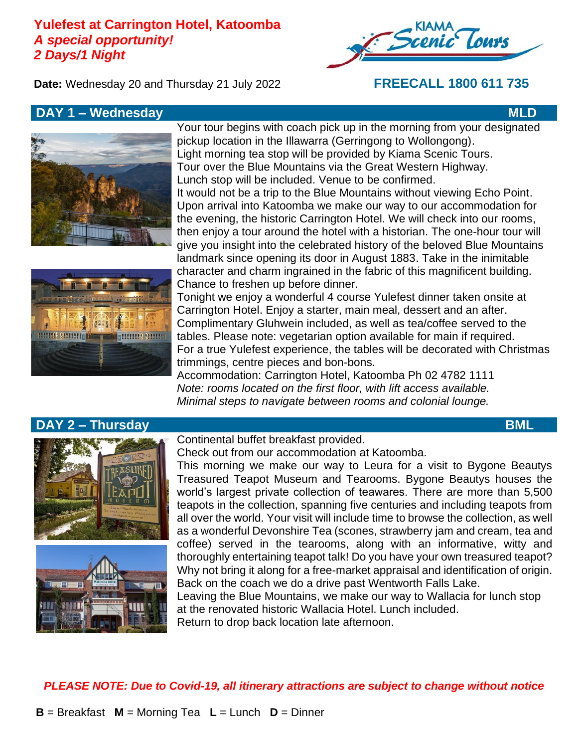# **Yulefest at Carrington Hotel, Katoomba** *A special opportunity! 2 Days/1 Night*



**Date:** Wednesday 20 and Thursday 21 July 2022 **FREECALL 1800 611 735**

# **DAY 1 – Wednesday MLD**





Your tour begins with coach pick up in the morning from your designated pickup location in the Illawarra (Gerringong to Wollongong). Light morning tea stop will be provided by Kiama Scenic Tours. Tour over the Blue Mountains via the Great Western Highway. Lunch stop will be included. Venue to be confirmed. It would not be a trip to the Blue Mountains without viewing Echo Point. Upon arrival into Katoomba we make our way to our accommodation for the evening, the historic Carrington Hotel. We will check into our rooms, then enjoy a tour around the hotel with a historian. The one-hour tour will give you insight into the celebrated history of the beloved Blue Mountains landmark since opening its door in August 1883. Take in the inimitable character and charm ingrained in the fabric of this magnificent building. Chance to freshen up before dinner.

Tonight we enjoy a wonderful 4 course Yulefest dinner taken onsite at Carrington Hotel. Enjoy a starter, main meal, dessert and an after. Complimentary Gluhwein included, as well as tea/coffee served to the tables. Please note: vegetarian option available for main if required. For a true Yulefest experience, the tables will be decorated with Christmas trimmings, centre pieces and bon-bons.

Accommodation: Carrington Hotel, Katoomba Ph 02 4782 1111 *Note: rooms located on the first floor, with lift access available. Minimal steps to navigate between rooms and colonial lounge.*

### **DAY 2 – Thursday BML**



Continental buffet breakfast provided.

Check out from our accommodation at Katoomba.

This morning we make our way to Leura for a visit to Bygone Beautys Treasured Teapot Museum and Tearooms. Bygone Beautys houses the world's largest private collection of teawares. There are more than 5,500 teapots in the collection, spanning five centuries and including teapots from all over the world. Your visit will include time to browse the collection, as well as a wonderful Devonshire Tea (scones, strawberry jam and cream, tea and coffee) served in the tearooms, along with an informative, witty and thoroughly entertaining teapot talk! Do you have your own treasured teapot? Why not bring it along for a free-market appraisal and identification of origin. Back on the coach we do a drive past Wentworth Falls Lake.

Leaving the Blue Mountains, we make our way to Wallacia for lunch stop at the renovated historic Wallacia Hotel. Lunch included. Return to drop back location late afternoon.

*PLEASE NOTE: Due to Covid-19, all itinerary attractions are subject to change without notice*